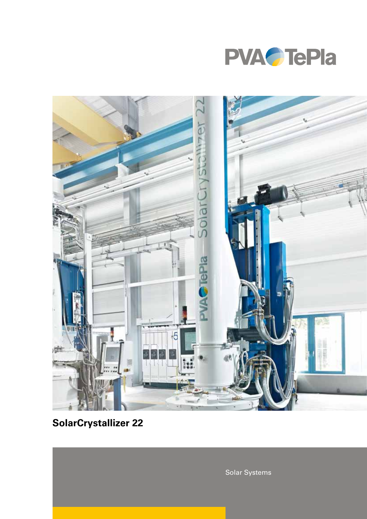



# **SolarCrystallizer 22**

Solar Systems